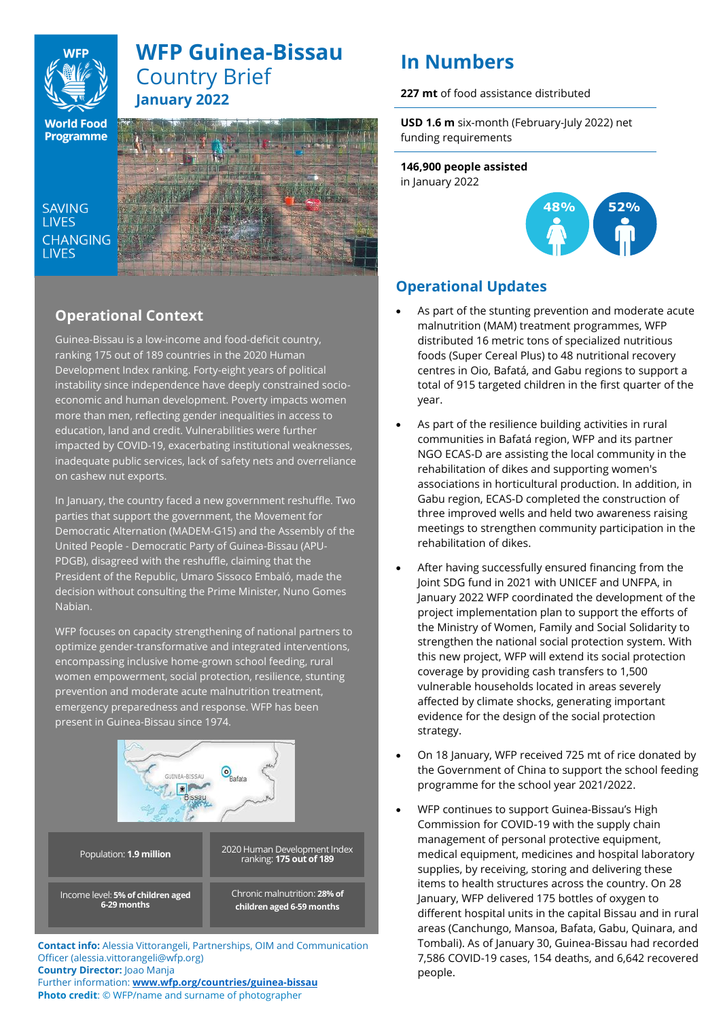

# **WFP Guinea-Bissau** Country Brief **January 2022**

**World Food Programme** 

SAVING **TIVES CHANGING I IVES** 



# **Operational Context**

Guinea-Bissau is a low-income and food-deficit country, ranking 175 out of 189 countries in the 2020 Human Development Index ranking. Forty-eight years of political instability since independence have deeply constrained socioeconomic and human development. Poverty impacts women more than men, reflecting gender inequalities in access to education, land and credit. Vulnerabilities were further impacted by COVID-19, exacerbating institutional weaknesses, inadequate public services, lack of safety nets and overreliance on cashew nut exports.

In January, the country faced a new government reshuffle. Two parties that support the government, the Movement for Democratic Alternation (MADEM-G15) and the Assembly of the United People - Democratic Party of Guinea-Bissau (APU-PDGB), disagreed with the reshuffle, claiming that the President of the Republic, Umaro Sissoco Embaló, made the decision without consulting the Prime Minister, Nuno Gomes Nabian.

WFP focuses on capacity strengthening of national partners to optimize gender-transformative and integrated interventions, encompassing inclusive home-grown school feeding, rural women empowerment, social protection, resilience, stunting prevention and moderate acute malnutrition treatment, emergency preparedness and response. WFP has been present in Guinea-Bissau since 1974.



**Contact info:** Alessia Vittorangeli, Partnerships, OIM and Communication Officer (alessia.vittorangeli@wfp.org) **Country Director:** Joao Manja

Further information: **[www.wfp.org/countries/guinea-bissau](http://www.wfp.org/countries/guinea-bissau) Photo credit**: © WFP/name and surname of photographer

# **In Numbers**

**227 mt** of food assistance distributed

**USD 1.6 m** six-month (February-July 2022) net funding requirements

**146,900 people assisted**  in January 2022



# **Operational Updates**

- As part of the stunting prevention and moderate acute malnutrition (MAM) treatment programmes, WFP distributed 16 metric tons of specialized nutritious foods (Super Cereal Plus) to 48 nutritional recovery centres in Oio, Bafatá, and Gabu regions to support a total of 915 targeted children in the first quarter of the year.
- As part of the resilience building activities in rural communities in Bafatá region, WFP and its partner NGO ECAS-D are assisting the local community in the rehabilitation of dikes and supporting women's associations in horticultural production. In addition, in Gabu region, ECAS-D completed the construction of three improved wells and held two awareness raising meetings to strengthen community participation in the rehabilitation of dikes.
- After having successfully ensured financing from the Joint SDG fund in 2021 with UNICEF and UNFPA, in January 2022 WFP coordinated the development of the project implementation plan to support the efforts of the Ministry of Women, Family and Social Solidarity to strengthen the national social protection system. With this new project, WFP will extend its social protection coverage by providing cash transfers to 1,500 vulnerable households located in areas severely affected by climate shocks, generating important evidence for the design of the social protection strategy.
- On 18 January, WFP received 725 mt of rice donated by the Government of China to support the school feeding programme for the school year 2021/2022.
- WFP continues to support Guinea-Bissau's High Commission for COVID-19 with the supply chain management of personal protective equipment, medical equipment, medicines and hospital laboratory supplies, by receiving, storing and delivering these items to health structures across the country. On 28 January, WFP delivered 175 bottles of oxygen to different hospital units in the capital Bissau and in rural areas (Canchungo, Mansoa, Bafata, Gabu, Quinara, and Tombali). As of January 30, Guinea-Bissau had recorded 7,586 COVID-19 cases, 154 deaths, and 6,642 recovered people.